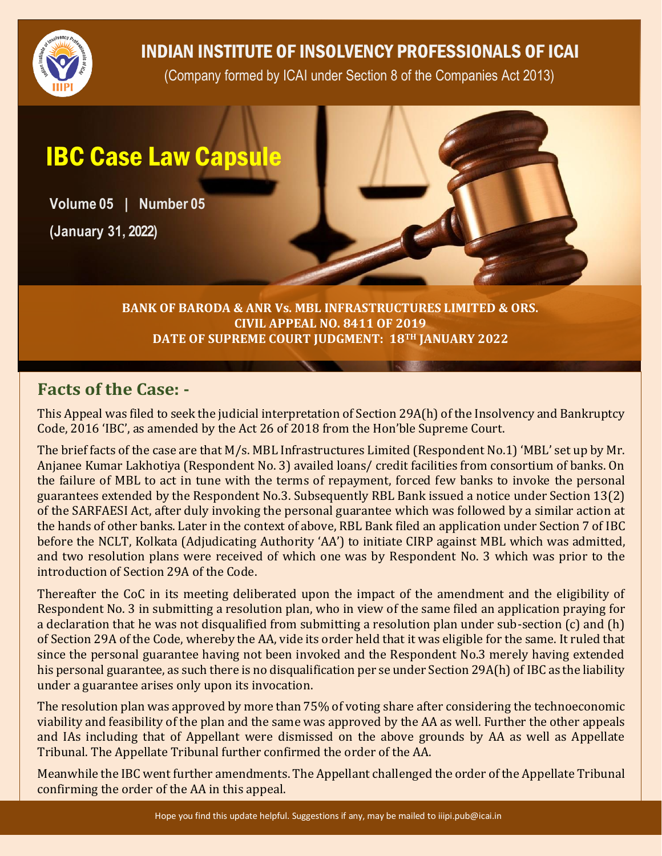

## INDIAN INSTITUTE OF INSOLVENCY PROFESSIONALS OF ICAI

(Company formed by ICAI under Section 8 of the Companies Act 2013)

# IBC Case Law Capsule

**Volume 05 | Number 05**

**(January 31, 2022)**

**BANK OF BARODA & ANR Vs. MBL INFRASTRUCTURES LIMITED & ORS. CIVIL APPEAL NO. 8411 OF 2019 DATE OF SUPREME COURT JUDGMENT: 18TH JANUARY 2022**

### **Facts of the Case: -**

This Appeal was filed to seek the judicial interpretation of Section 29A(h) of the Insolvency and Bankruptcy Code, 2016 'IBC', as amended by the Act 26 of 2018 from the Hon'ble Supreme Court.

The brief facts of the case are that M/s. MBL Infrastructures Limited (Respondent No.1) 'MBL' set up by Mr. Anjanee Kumar Lakhotiya (Respondent No. 3) availed loans/ credit facilities from consortium of banks. On the failure of MBL to act in tune with the terms of repayment, forced few banks to invoke the personal guarantees extended by the Respondent No.3. Subsequently RBL Bank issued a notice under Section 13(2) of the SARFAESI Act, after duly invoking the personal guarantee which was followed by a similar action at the hands of other banks. Later in the context of above, RBL Bank filed an application under Section 7 of IBC before the NCLT, Kolkata (Adjudicating Authority 'AA') to initiate CIRP against MBL which was admitted, and two resolution plans were received of which one was by Respondent No. 3 which was prior to the introduction of Section 29A of the Code.

Thereafter the CoC in its meeting deliberated upon the impact of the amendment and the eligibility of Respondent No. 3 in submitting a resolution plan, who in view of the same filed an application praying for a declaration that he was not disqualified from submitting a resolution plan under sub-section (c) and (h) of Section 29A of the Code, whereby the AA, vide its order held that it was eligible for the same. It ruled that since the personal guarantee having not been invoked and the Respondent No.3 merely having extended his personal guarantee, as such there is no disqualification per se under Section 29A(h) of IBC as the liability under a guarantee arises only upon its invocation.

The resolution plan was approved by more than 75% of voting share after considering the technoeconomic viability and feasibility of the plan and the same was approved by the AA as well. Further the other appeals and IAs including that of Appellant were dismissed on the above grounds by AA as well as Appellate Tribunal. The Appellate Tribunal further confirmed the order of the AA.

Meanwhile the IBC went further amendments. The Appellant challenged the order of the Appellate Tribunal confirming the order of the AA in this appeal.